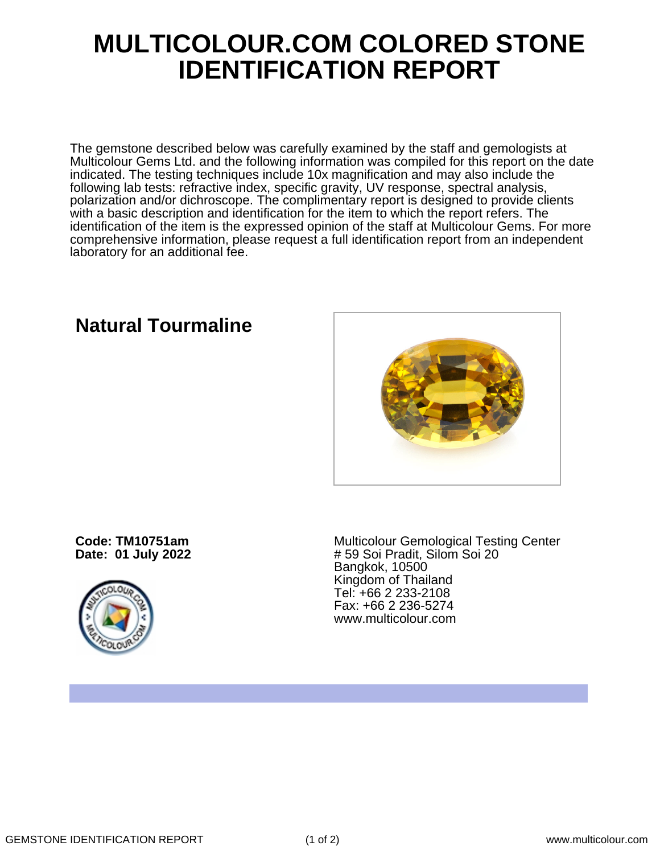## **MULTICOLOUR.COM COLORED STONE IDENTIFICATION REPORT**

The gemstone described below was carefully examined by the staff and gemologists at Multicolour Gems Ltd. and the following information was compiled for this report on the date indicated. The testing techniques include 10x magnification and may also include the following lab tests: refractive index, specific gravity, UV response, spectral analysis, polarization and/or dichroscope. The complimentary report is designed to provide clients with a basic description and identification for the item to which the report refers. The identification of the item is the expressed opinion of the staff at Multicolour Gems. For more comprehensive information, please request a full identification report from an independent laboratory for an additional fee.

## **Natural Tourmaline**

**Code: TM10751am Date: 01 July 2022**



Multicolour Gemological Testing Center # 59 Soi Pradit, Silom Soi 20 Bangkok, 10500 Kingdom of Thailand Tel: +66 2 233-2108 Fax: +66 2 236-5274 www.multicolour.com